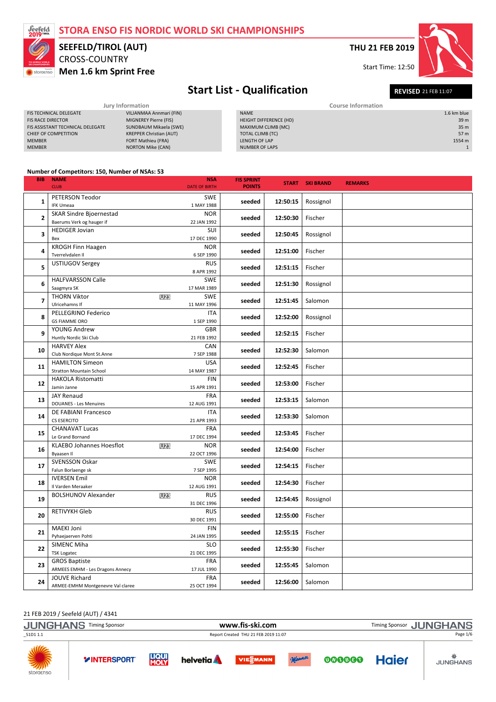

# CROSS-COUNTRY SEEFELD/TIROL (AUT)

Men 1.6 km Sprint Free

THU 21 FEB 2019

Start Time: 12:50



# Start List - Qualification REVISED 21 FEB 11:07

|                                  | Jury Information               | <b>Course Information</b> |                 |  |  |  |
|----------------------------------|--------------------------------|---------------------------|-----------------|--|--|--|
| <b>FIS TECHNICAL DELEGATE</b>    | VILJANMAA Annmari (FIN)        | <b>NAME</b>               | 1.6 km blue     |  |  |  |
| <b>FIS RACE DIRECTOR</b>         | MIGNEREY Pierre (FIS)          | HEIGHT DIFFERENCE (HD)    | 39 <sub>m</sub> |  |  |  |
| FIS ASSISTANT TECHNICAL DELEGATE | SUNDBAUM Mikaela (SWE)         | MAXIMUM CLIMB (MC)        | 35 <sub>m</sub> |  |  |  |
| CHIEF OF COMPETITION             | <b>KREPPER Christian (AUT)</b> | TOTAL CLIMB (TC)          | 57 m            |  |  |  |
| <b>MEMBER</b>                    | <b>FORT Mathieu (FRA)</b>      | LENGTH OF LAP             | 1554 m          |  |  |  |
| <b>MEMBER</b>                    | <b>NORTON Mike (CAN)</b>       | NUMBER OF LAPS            |                 |  |  |  |

#### Number of Competitors: 150, Number of NSAs: 53

| <b>BIB</b> | <b>NAME</b><br><b>CLUB</b>                                | <b>NSA</b><br><b>DATE OF BIRTH</b>      | <b>FIS SPRINT</b><br><b>POINTS</b> |          | <b>START SKI BRAND</b> | <b>REMARKS</b> |
|------------|-----------------------------------------------------------|-----------------------------------------|------------------------------------|----------|------------------------|----------------|
| 1          | PETERSON Teodor<br><b>IFK Umeaa</b>                       | <b>SWE</b>                              | seeded                             | 12:50:15 | Rossignol              |                |
| 2          | <b>SKAR Sindre Bjoernestad</b>                            | 1 MAY 1988<br><b>NOR</b>                | seeded                             | 12:50:30 | Fischer                |                |
| 3          | Baerums Verk og hauger if<br><b>HEDIGER Jovian</b><br>Bex | 22 JAN 1992<br>SUI                      | seeded                             | 12:50:45 | Rossignol              |                |
| 4          | <b>KROGH Finn Haagen</b><br>Tverrelvdalen II              | 17 DEC 1990<br><b>NOR</b><br>6 SEP 1990 | seeded                             | 12:51:00 | Fischer                |                |
| 5          | USTIUGOV Sergey                                           | <b>RUS</b><br>8 APR 1992                | seeded                             | 12:51:15 | Fischer                |                |
| 6          | <b>HALFVARSSON Calle</b><br>Saagmyra SK                   | <b>SWE</b><br>17 MAR 1989               | seeded                             | 12:51:30 | Rossignol              |                |
| 7          | <b>THORN Viktor</b><br>Ulricehamns If                     | <b>SWE</b><br><b>U23</b><br>11 MAY 1996 | seeded                             | 12:51:45 | Salomon                |                |
| 8          | PELLEGRINO Federico<br><b>GS FIAMME ORO</b>               | <b>ITA</b><br>1 SEP 1990                | seeded                             | 12:52:00 | Rossignol              |                |
| 9          | YOUNG Andrew<br>Huntly Nordic Ski Club                    | <b>GBR</b><br>21 FEB 1992               | seeded                             | 12:52:15 | Fischer                |                |
| 10         | <b>HARVEY Alex</b><br>Club Nordique Mont St.Anne          | <b>CAN</b><br>7 SEP 1988                | seeded                             | 12:52:30 | Salomon                |                |
| 11         | <b>HAMILTON Simeon</b><br><b>Stratton Mountain School</b> | <b>USA</b><br>14 MAY 1987               | seeded                             | 12:52:45 | Fischer                |                |
| 12         | <b>HAKOLA Ristomatti</b><br>Jamin Janne                   | <b>FIN</b><br>15 APR 1991               | seeded                             | 12:53:00 | Fischer                |                |
| 13         | <b>JAY Renaud</b><br><b>DOUANES - Les Menuires</b>        | <b>FRA</b><br>12 AUG 1991               | seeded                             | 12:53:15 | Salomon                |                |
| 14         | DE FABIANI Francesco<br><b>CS ESERCITO</b>                | ITA<br>21 APR 1993                      | seeded                             | 12:53:30 | Salomon                |                |
| 15         | <b>CHANAVAT Lucas</b><br>Le Grand Bornand                 | <b>FRA</b><br>17 DEC 1994               | seeded                             | 12:53:45 | Fischer                |                |
| 16         | <b>KLAEBO Johannes Hoesflot</b><br>Byaasen II             | U23<br><b>NOR</b><br>22 OCT 1996        | seeded                             | 12:54:00 | Fischer                |                |
| 17         | <b>SVENSSON Oskar</b><br>Falun Borlaenge sk               | <b>SWE</b><br>7 SEP 1995                | seeded                             | 12:54:15 | Fischer                |                |
| 18         | <b>IVERSEN Emil</b><br>Il Varden Meraaker                 | <b>NOR</b><br>12 AUG 1991               | seeded                             | 12:54:30 | Fischer                |                |
| 19         | <b>BOLSHUNOV Alexander</b>                                | U23<br><b>RUS</b><br>31 DEC 1996        | seeded                             | 12:54:45 | Rossignol              |                |
| 20         | <b>RETIVYKH Gleb</b>                                      | <b>RUS</b><br>30 DEC 1991               | seeded                             | 12:55:00 | Fischer                |                |
| 21         | <b>MAEKI Joni</b><br>Pyhaejaerven Pohti                   | <b>FIN</b><br>24 JAN 1995               | seeded                             | 12:55:15 | Fischer                |                |
| 22         | SIMENC Miha<br><b>TSK Logatec</b>                         | <b>SLO</b><br>21 DEC 1995               | seeded                             | 12:55:30 | Fischer                |                |
| 23         | <b>GROS Baptiste</b><br>ARMEES EMHM - Les Dragons Annecy  | <b>FRA</b><br>17 JUL 1990               | seeded                             | 12:55:45 | Salomon                |                |
| 24         | <b>JOUVE Richard</b><br>ARMEE-EMHM Montgenevre Val claree | <b>FRA</b><br>25 OCT 1994               | seeded                             | 12:56:00 | Salomon                |                |

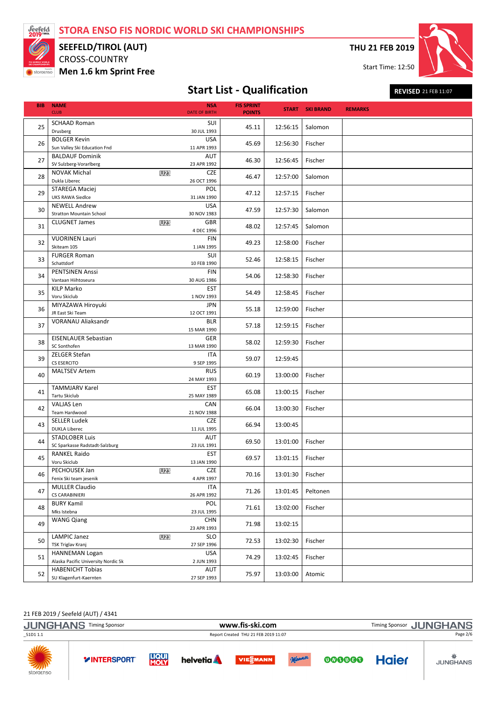

## CROSS-COUNTRY SEEFELD/TIROL (AUT)

Men 1.6 km Sprint Free

THU 21 FEB 2019

Start Time: 12:50



# Start List - Qualification REVISED 21 FEB 11:07

| <b>BIB</b> | <b>NAME</b><br><b>CLUB</b>                                                     | <b>NSA</b><br><b>DATE OF BIRTH</b>      | <b>FIS SPRINT</b><br><b>POINTS</b> |                    | <b>START SKI BRAND</b> | <b>REMARKS</b> |
|------------|--------------------------------------------------------------------------------|-----------------------------------------|------------------------------------|--------------------|------------------------|----------------|
| 25         | <b>SCHAAD Roman</b><br>Drusberg                                                | SUI<br>30 JUL 1993                      | 45.11                              | 12:56:15           | Salomon                |                |
| 26         | <b>BOLGER Kevin</b><br>Sun Valley Ski Education Fnd                            | <b>USA</b><br>11 APR 1993               | 45.69                              | 12:56:30           | Fischer                |                |
| 27         | <b>BALDAUF Dominik</b><br>SV Sulzberg-Vorarlberg                               | AUT<br>23 APR 1992                      | 46.30                              | 12:56:45           | Fischer                |                |
| 28         | <b>NOVAK Michal</b><br>Dukla Liberec                                           | <b>CZE</b><br><b>U23</b><br>26 OCT 1996 | 46.47                              | 12:57:00           | Salomon                |                |
| 29         | <b>STAREGA Maciej</b><br><b>UKS RAWA Siedlce</b>                               | POL<br>31 JAN 1990                      | 47.12                              | 12:57:15           | Fischer                |                |
| 30         | <b>NEWELL Andrew</b><br><b>Stratton Mountain School</b>                        | <b>USA</b><br>30 NOV 1983               | 47.59                              | 12:57:30           | Salomon                |                |
| 31         | <b>CLUGNET James</b>                                                           | <b>GBR</b><br><b>U23</b><br>4 DEC 1996  | 48.02                              | 12:57:45           | Salomon                |                |
| 32         | <b>VUORINEN Lauri</b><br>Skiteam 105                                           | <b>FIN</b><br>1 JAN 1995                | 49.23                              | 12:58:00           | Fischer                |                |
| 33         | <b>FURGER Roman</b><br>Schattdorf                                              | SUI<br>10 FEB 1990                      | 52.46                              | 12:58:15           | Fischer                |                |
| 34         | <b>PENTSINEN Anssi</b><br>Vantaan Hiihtoseura                                  | <b>FIN</b><br>30 AUG 1986               | 54.06                              | 12:58:30           | Fischer                |                |
| 35         | <b>KILP Marko</b><br>Voru Skiclub                                              | <b>EST</b><br>1 NOV 1993                | 54.49                              | 12:58:45           | Fischer                |                |
| 36         | MIYAZAWA Hiroyuki<br>JR East Ski Team                                          | <b>JPN</b><br>12 OCT 1991               | 55.18                              | 12:59:00           | Fischer                |                |
| 37         | <b>VORANAU Aliaksandr</b>                                                      | <b>BLR</b><br>15 MAR 1990               | 57.18                              | 12:59:15           | Fischer                |                |
| 38         | EISENLAUER Sebastian<br>SC Sonthofen                                           | GER<br>13 MAR 1990                      | 58.02                              | 12:59:30           | Fischer                |                |
| 39         | ZELGER Stefan<br>CS ESERCITO                                                   | ITA<br>9 SEP 1995                       | 59.07                              | 12:59:45           |                        |                |
| 40         | <b>MALTSEV Artem</b>                                                           | <b>RUS</b><br>24 MAY 1993               | 60.19                              | 13:00:00           | Fischer                |                |
| 41         | <b>TAMMJARV Karel</b><br>Tartu Skiclub                                         | <b>EST</b><br>25 MAY 1989               | 65.08                              | 13:00:15           | Fischer                |                |
| 42         | VALJAS Len<br>Team Hardwood                                                    | CAN<br>21 NOV 1988                      | 66.04                              | 13:00:30           | Fischer                |                |
| 43         | <b>SELLER Ludek</b><br><b>DUKLA Liberec</b>                                    | <b>CZE</b><br>11 JUL 1995               | 66.94                              | 13:00:45           |                        |                |
| 44         | <b>STADLOBER Luis</b><br>SC Sparkasse Radstadt-Salzburg<br><b>RANKEL Raido</b> | AUT<br>23 JUL 1991                      | 69.50                              | 13:01:00           | Fischer                |                |
| 45         | Voru Skiclub                                                                   | <b>EST</b><br>13 JAN 1990               | 69.57                              | 13:01:15           | Fischer                |                |
| 46         | PECHOUSEK Jan<br>Fenix Ski team jesenik                                        | U23<br>CZE<br>4 APR 1997                | 70.16                              | 13:01:30   Fischer |                        |                |
| 47         | <b>MULLER Claudio</b><br><b>CS CARABINIERI</b><br><b>BURY Kamil</b>            | <b>ITA</b><br>26 APR 1992               | 71.26                              | 13:01:45           | Peltonen               |                |
| 48         | Mks Istebna                                                                    | POL<br>23 JUL 1995                      | 71.61                              | 13:02:00           | Fischer                |                |
| 49         | <b>WANG Qiang</b>                                                              | CHN<br>23 APR 1993                      | 71.98                              | 13:02:15           |                        |                |
| 50         | <b>LAMPIC Janez</b><br>TSK Triglav Kranj                                       | <b>SLO</b><br><b>U23</b><br>27 SEP 1996 | 72.53                              | 13:02:30           | Fischer                |                |
| 51         | <b>HANNEMAN Logan</b><br>Alaska Pacific University Nordic Sk                   | USA<br>2 JUN 1993                       | 74.29                              | 13:02:45           | Fischer                |                |
| 52         | <b>HABENICHT Tobias</b><br>SU Klagenfurt-Kaernten                              | AUT<br>27 SEP 1993                      | 75.97                              | 13:03:00           | Atomic                 |                |

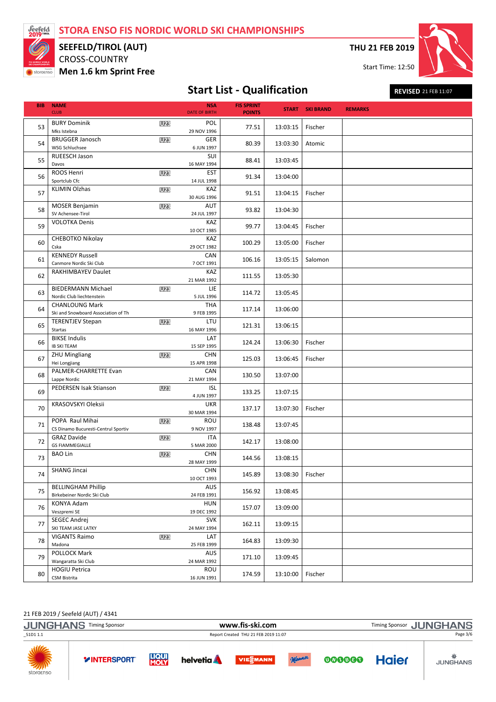

## CROSS-COUNTRY SEEFELD/TIROL (AUT)

Men 1.6 km Sprint Free

THU 21 FEB 2019

Start Time: 12:50



# Start List - Qualification REVISED 21 FEB 11:07

| <b>BIB</b> | <b>NAME</b><br><b>CLUB</b>                                   |            | <b>NSA</b><br><b>DATE OF BIRTH</b> | <b>FIS SPRINT</b><br><b>POINTS</b> |          | <b>START SKI BRAND</b> | <b>REMARKS</b> |
|------------|--------------------------------------------------------------|------------|------------------------------------|------------------------------------|----------|------------------------|----------------|
| 53         | <b>BURY Dominik</b><br>Mks Istebna                           | <b>U23</b> | POL<br>29 NOV 1996                 | 77.51                              | 13:03:15 | Fischer                |                |
| 54         | <b>BRUGGER Janosch</b><br><b>WSG Schluchsee</b>              | U23        | GER<br>6 JUN 1997                  | 80.39                              | 13:03:30 | Atomic                 |                |
| 55         | <b>RUEESCH Jason</b><br>Davos                                |            | SUI<br>16 MAY 1994                 | 88.41                              | 13:03:45 |                        |                |
| 56         | ROOS Henri<br>Sportclub Cfc                                  | U23        | <b>EST</b><br>14 JUL 1998          | 91.34                              | 13:04:00 |                        |                |
| 57         | <b>KLIMIN Olzhas</b>                                         | U23        | KAZ<br>30 AUG 1996                 | 91.51                              | 13:04:15 | Fischer                |                |
| 58         | <b>MOSER Benjamin</b><br>SV Achensee-Tirol                   | U23        | AUT<br>24 JUL 1997                 | 93.82                              | 13:04:30 |                        |                |
| 59         | <b>VOLOTKA Denis</b>                                         |            | KAZ<br>10 OCT 1985                 | 99.77                              | 13:04:45 | Fischer                |                |
| 60         | CHEBOTKO Nikolay<br>Cska                                     |            | KAZ<br>29 OCT 1982                 | 100.29                             | 13:05:00 | Fischer                |                |
| 61         | <b>KENNEDY Russell</b><br>Canmore Nordic Ski Club            |            | CAN<br>7 OCT 1991                  | 106.16                             | 13:05:15 | Salomon                |                |
| 62         | RAKHIMBAYEV Daulet                                           |            | KAZ<br>21 MAR 1992                 | 111.55                             | 13:05:30 |                        |                |
| 63         | <b>BIEDERMANN Michael</b><br>Nordic Club liechtenstein       | <b>U23</b> | LIE.<br>5 JUL 1996                 | 114.72                             | 13:05:45 |                        |                |
| 64         | <b>CHANLOUNG Mark</b><br>Ski and Snowboard Association of Th |            | <b>THA</b><br>9 FEB 1995<br>LTU    | 117.14                             | 13:06:00 |                        |                |
| 65         | <b>TERENTJEV Stepan</b><br>Startas<br><b>BIKSE Indulis</b>   | U23        | 16 MAY 1996<br>LAT                 | 121.31                             | 13:06:15 |                        |                |
| 66         | <b>IB SKI TEAM</b><br><b>ZHU Mingliang</b>                   | <b>U23</b> | 15 SEP 1995<br><b>CHN</b>          | 124.24                             | 13:06:30 | Fischer                |                |
| 67         | Hei Longjiang<br>PALMER-CHARRETTE Evan                       |            | 15 APR 1998<br>CAN                 | 125.03                             | 13:06:45 | Fischer                |                |
| 68         | Lappe Nordic<br>PEDERSEN Isak Stianson                       | <b>U23</b> | 21 MAY 1994<br><b>ISL</b>          | 130.50                             | 13:07:00 |                        |                |
| 69         | KRASOVSKYI Oleksii                                           |            | 4 JUN 1997<br>UKR                  | 133.25                             | 13:07:15 |                        |                |
| 70         | POPA Raul Mihai                                              | <b>U23</b> | 30 MAR 1994<br>ROU                 | 137.17                             | 13:07:30 | Fischer                |                |
| 71         | CS Dinamo Bucuresti-Centrul Sportiv<br><b>GRAZ Davide</b>    | U23        | 9 NOV 1997<br>ITA                  | 138.48                             | 13:07:45 |                        |                |
| 72         | <b>GS FIAMMEGIALLE</b><br><b>BAO Lin</b>                     | U23        | 5 MAR 2000<br><b>CHN</b>           | 142.17                             | 13:08:00 |                        |                |
| 73         | <b>SHANG Jincai</b>                                          |            | 28 MAY 1999<br><b>CHN</b>          | 144.56                             | 13:08:15 |                        |                |
| 74         | <b>BELLINGHAM Phillip</b>                                    |            | 10 OCT 1993<br><b>AUS</b>          | 145.89                             | 13:08:30 | Fischer                |                |
| 75         | Birkebeiner Nordic Ski Club<br>KONYA Adam                    |            | 24 FEB 1991<br>HUN                 | 156.92                             | 13:08:45 |                        |                |
| 76         | Veszpremi SE<br>SEGEC Andrej                                 |            | 19 DEC 1992<br><b>SVK</b>          | 157.07                             | 13:09:00 |                        |                |
| 77         | SKI TEAM JASE LATKY<br><b>VIGANTS Raimo</b>                  | <b>U23</b> | 24 MAY 1994<br>LAT                 | 162.11                             | 13:09:15 |                        |                |
| 78         | Madona<br><b>POLLOCK Mark</b>                                |            | 25 FEB 1999<br>AUS                 | 164.83                             | 13:09:30 |                        |                |
| 79         | Wangaratta Ski Club<br><b>HOGIU Petrica</b>                  |            | 24 MAR 1992<br>ROU                 | 171.10                             | 13:09:45 |                        |                |
| 80         | CSM Bistrita                                                 |            | 16 JUN 1991                        | 174.59                             | 13:10:00 | Fischer                |                |

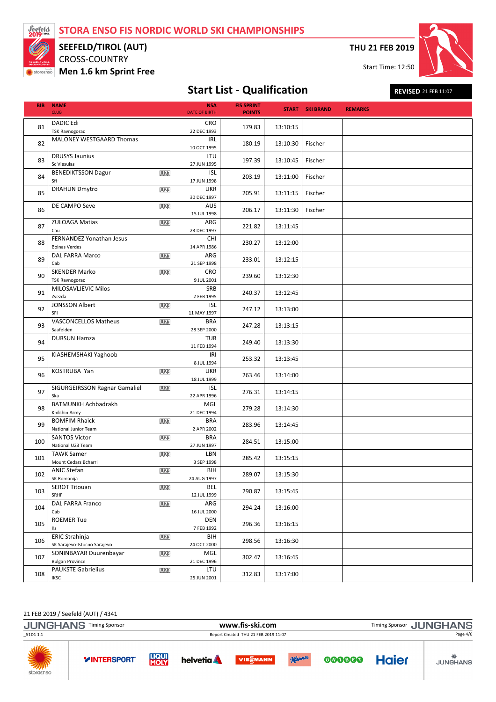

## CROSS-COUNTRY SEEFELD/TIROL (AUT)

Men 1.6 km Sprint Free

THU 21 FEB 2019

Start Time: 12:50



# Start List - Qualification REVISED 21 FEB 11:07

| <b>BIB</b> | <b>NAME</b><br><b>CLUB</b>                       |                 | <b>NSA</b><br><b>DATE OF BIRTH</b> | <b>FIS SPRINT</b><br><b>POINTS</b> |          | <b>START SKI BRAND</b> | <b>REMARKS</b> |
|------------|--------------------------------------------------|-----------------|------------------------------------|------------------------------------|----------|------------------------|----------------|
| 81         | <b>DADIC Edi</b><br><b>TSK Ravnogorac</b>        |                 | CRO<br>22 DEC 1993                 | 179.83                             | 13:10:15 |                        |                |
| 82         | MALONEY WESTGAARD Thomas                         |                 | <b>IRL</b><br>10 OCT 1995          | 180.19                             | 13:10:30 | Fischer                |                |
| 83         | <b>DRUSYS Jaunius</b><br>Sc Viesulas             |                 | LTU<br>27 JUN 1995                 | 197.39                             | 13:10:45 | Fischer                |                |
| 84         | <b>BENEDIKTSSON Dagur</b><br>Sfi                 | <b>U23</b>      | <b>ISL</b><br>17 JUN 1998          | 203.19                             | 13:11:00 | Fischer                |                |
| 85         | <b>DRAHUN Dmytro</b>                             | <b>U23</b>      | <b>UKR</b><br>30 DEC 1997          | 205.91                             | 13:11:15 | Fischer                |                |
| 86         | DE CAMPO Seve                                    | U23             | AUS<br>15 JUL 1998                 | 206.17                             | 13:11:30 | Fischer                |                |
| 87         | <b>ZULOAGA Matias</b><br>Cau                     | <b>U23</b>      | ARG<br>23 DEC 1997                 | 221.82                             | 13:11:45 |                        |                |
| 88         | FERNANDEZ Yonathan Jesus<br><b>Boinas Verdes</b> |                 | <b>CHI</b><br>14 APR 1986          | 230.27                             | 13:12:00 |                        |                |
| 89         | DAL FARRA Marco<br>Cab                           | <b>U23</b>      | ARG<br>21 SEP 1998                 | 233.01                             | 13:12:15 |                        |                |
| 90         | <b>SKENDER Marko</b><br><b>TSK Ravnogorac</b>    | <b>U23</b>      | <b>CRO</b><br>9 JUL 2001           | 239.60                             | 13:12:30 |                        |                |
| 91         | MILOSAVLJEVIC Milos<br>Zvezda                    |                 | SRB<br>2 FEB 1995                  | 240.37                             | 13:12:45 |                        |                |
| 92         | <b>JONSSON Albert</b><br>SFI                     | <b>U23</b>      | <b>ISL</b><br>11 MAY 1997          | 247.12                             | 13:13:00 |                        |                |
| 93         | VASCONCELLOS Matheus<br>Saafelden                | <b>U23</b>      | <b>BRA</b><br>28 SEP 2000          | 247.28                             | 13:13:15 |                        |                |
| 94         | <b>DURSUN Hamza</b>                              |                 | <b>TUR</b><br>11 FEB 1994          | 249.40                             | 13:13:30 |                        |                |
| 95         | KIASHEMSHAKI Yaghoob                             |                 | IRI<br>8 JUL 1994                  | 253.32                             | 13:13:45 |                        |                |
| 96         | KOSTRUBA Yan                                     | <b>U23</b>      | <b>UKR</b><br>18 JUL 1999          | 263.46                             | 13:14:00 |                        |                |
| 97         | SIGURGEIRSSON Ragnar Gamaliel<br>Ska             | U23             | <b>ISL</b><br>22 APR 1996          | 276.31                             | 13:14:15 |                        |                |
| 98         | BATMUNKH Achbadrakh<br>Khilchin Army             |                 | MGL<br>21 DEC 1994                 | 279.28                             | 13:14:30 |                        |                |
| 99         | <b>BOMFIM Rhaick</b><br>National Junior Team     | <b>U23</b>      | <b>BRA</b><br>2 APR 2002           | 283.96                             | 13:14:45 |                        |                |
| 100        | <b>SANTOS Victor</b><br>National U23 Team        | U23             | <b>BRA</b><br>27 JUN 1997          | 284.51                             | 13:15:00 |                        |                |
| 101        | <b>TAWK Samer</b><br>Mount Cedars Bcharri        | U <sub>23</sub> | LBN<br>3 SEP 1998                  | 285.42                             | 13:15:15 |                        |                |
| 102        | ANIC Stefan<br>SK Romanija                       | <b>U23</b>      | BIH<br>24 AUG 1997                 | 289.07                             | 13:15:30 |                        |                |
| 103        | <b>SEROT Titouan</b><br>SRHF                     | <b>U23</b>      | BEL<br>12 JUL 1999                 | 290.87                             | 13:15:45 |                        |                |
| 104        | DAL FARRA Franco<br>Cab                          | U23             | ARG<br>16 JUL 2000                 | 294.24                             | 13:16:00 |                        |                |
| 105        | <b>ROEMER Tue</b><br>Ks                          |                 | DEN<br>7 FEB 1992                  | 296.36                             | 13:16:15 |                        |                |
| 106        | ERIC Strahinja<br>SK Sarajevo-Istocno Sarajevo   | U23             | BIH<br>24 OCT 2000                 | 298.56                             | 13:16:30 |                        |                |
| 107        | SONINBAYAR Duurenbayar<br><b>Bulgan Province</b> | <b>U23</b>      | MGL<br>21 DEC 1996                 | 302.47                             | 13:16:45 |                        |                |
| 108        | <b>PAUKSTE Gabrielius</b><br><b>IKSC</b>         | U23             | LTU<br>25 JUN 2001                 | 312.83                             | 13:17:00 |                        |                |

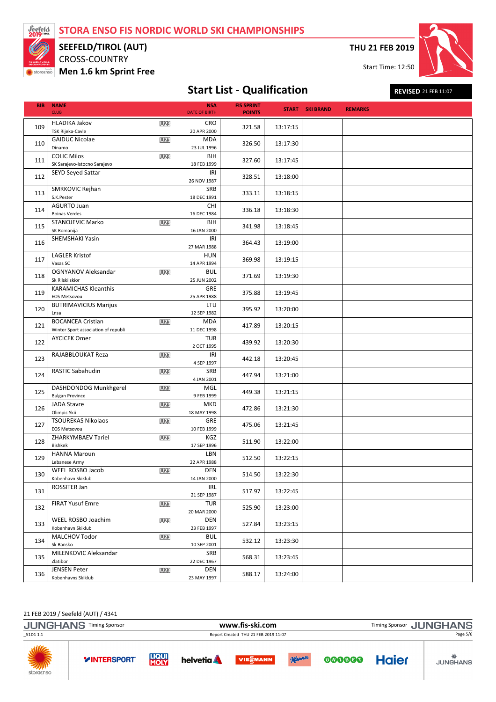

## CROSS-COUNTRY SEEFELD/TIROL (AUT)

Men 1.6 km Sprint Free

THU 21 FEB 2019

Start Time: 12:50



# Start List - Qualification REVISED 21 FEB 11:07

| <b>BIB</b> | <b>NAME</b><br><b>CLUB</b>                      |            | <b>NSA</b><br><b>DATE OF BIRTH</b> | <b>FIS SPRINT</b><br><b>POINTS</b> |          | <b>START SKI BRAND</b> | <b>REMARKS</b> |
|------------|-------------------------------------------------|------------|------------------------------------|------------------------------------|----------|------------------------|----------------|
|            |                                                 |            |                                    |                                    |          |                        |                |
| 109        | <b>HLADIKA Jakov</b><br><b>TSK Rijeka-Cavle</b> | <b>U23</b> | CRO<br>20 APR 2000                 | 321.58                             | 13:17:15 |                        |                |
|            | <b>GAIDUC Nicolae</b>                           | U23        | <b>MDA</b>                         |                                    |          |                        |                |
| 110        | Dinamo                                          |            | 23 JUL 1996                        | 326.50                             | 13:17:30 |                        |                |
|            | <b>COLIC Milos</b>                              | <b>U23</b> | BIH                                |                                    |          |                        |                |
| 111        | SK Sarajevo-Istocno Sarajevo                    |            | 18 FEB 1999                        | 327.60                             | 13:17:45 |                        |                |
|            |                                                 |            |                                    |                                    |          |                        |                |
| 112        | <b>SEYD Seyed Sattar</b>                        |            | IRI<br>26 NOV 1987                 | 328.51                             | 13:18:00 |                        |                |
|            | SMRKOVIC Rejhan                                 |            | SRB                                |                                    |          |                        |                |
| 113        | S.K.Pester                                      |            | 18 DEC 1991                        | 333.11                             | 13:18:15 |                        |                |
|            | <b>AGURTO Juan</b>                              |            | CHI                                |                                    |          |                        |                |
| 114        | <b>Boinas Verdes</b>                            |            | 16 DEC 1984                        | 336.18                             | 13:18:30 |                        |                |
|            | <b>STANOJEVIC Marko</b>                         | <b>U23</b> | BIH                                |                                    |          |                        |                |
| 115        |                                                 |            |                                    | 341.98                             | 13:18:45 |                        |                |
|            | SK Romanija                                     |            | 16 JAN 2000                        |                                    |          |                        |                |
| 116        | SHEMSHAKI Yasin                                 |            | IRI                                | 364.43                             | 13:19:00 |                        |                |
|            |                                                 |            | 27 MAR 1988                        |                                    |          |                        |                |
| 117        | <b>LAGLER Kristof</b>                           |            | <b>HUN</b>                         | 369.98                             | 13:19:15 |                        |                |
|            | Vasas SC                                        |            | 14 APR 1994                        |                                    |          |                        |                |
|            | OGNYANOV Aleksandar                             | U23        | <b>BUL</b>                         |                                    |          |                        |                |
| 118        | Sk Rilski skior                                 |            | 25 JUN 2002                        | 371.69                             | 13:19:30 |                        |                |
|            | <b>KARAMICHAS Kleanthis</b>                     |            | GRE                                |                                    |          |                        |                |
| 119        | <b>EOS Metsovou</b>                             |            | 25 APR 1988                        | 375.88                             | 13:19:45 |                        |                |
|            |                                                 |            |                                    |                                    |          |                        |                |
| 120        | <b>BUTRIMAVICIUS Marijus</b>                    |            | LTU                                | 395.92                             | 13:20:00 |                        |                |
|            | Lnsa                                            |            | 12 SEP 1982                        |                                    |          |                        |                |
| 121        | <b>BOCANCEA Cristian</b>                        | U23        | MDA                                | 417.89                             | 13:20:15 |                        |                |
|            | Winter Sport association of republi             |            | 11 DEC 1998                        |                                    |          |                        |                |
|            | <b>AYCICEK Omer</b>                             |            | <b>TUR</b>                         |                                    |          |                        |                |
| 122        |                                                 |            | 2 OCT 1995                         | 439.92                             | 13:20:30 |                        |                |
|            | RAJABBLOUKAT Reza                               | <b>U23</b> | IRI                                |                                    |          |                        |                |
| 123        |                                                 |            | 4 SEP 1997                         | 442.18                             | 13:20:45 |                        |                |
|            | RASTIC Sabahudin                                | U23        | SRB                                |                                    |          |                        |                |
| 124        |                                                 |            | 4 JAN 2001                         | 447.94                             | 13:21:00 |                        |                |
|            |                                                 |            |                                    |                                    |          |                        |                |
| 125        | DASHDONDOG Munkhgerel                           | <b>U23</b> | MGL                                | 449.38                             | 13:21:15 |                        |                |
|            | <b>Bulgan Province</b>                          |            | 9 FEB 1999                         |                                    |          |                        |                |
| 126        | <b>JADA Stavre</b>                              | U23        | <b>MKD</b>                         | 472.86                             | 13:21:30 |                        |                |
|            | Olimpic Skii                                    |            | 18 MAY 1998                        |                                    |          |                        |                |
|            | <b>TSOUREKAS Nikolaos</b>                       | <b>U23</b> | GRE                                |                                    |          |                        |                |
| 127        | <b>EOS Metsovou</b>                             |            | 10 FEB 1999                        | 475.06                             | 13:21:45 |                        |                |
|            | ZHARKYMBAEV Tariel                              | U23        | KGZ                                |                                    |          |                        |                |
| 128        | <b>Bishkek</b>                                  |            | 17 SEP 1996                        | 511.90                             | 13:22:00 |                        |                |
|            | <b>HANNA Maroun</b>                             |            | LBN                                |                                    |          |                        |                |
| 129        | Lebanese Army                                   |            | 22 APR 1988                        | 512.50                             | 13:22:15 |                        |                |
|            | WEEL ROSBO Jacob                                |            |                                    |                                    |          |                        |                |
| 130        |                                                 | <b>U23</b> | DEN                                | 514.50                             | 13:22:30 |                        |                |
|            | Kobenhavn Skiklub                               |            | 14 JAN 2000                        |                                    |          |                        |                |
| 131        | ROSSITER Jan                                    |            | IRL                                | 517.97                             | 13:22:45 |                        |                |
|            |                                                 |            | 21 SEP 1987                        |                                    |          |                        |                |
|            | <b>FIRAT Yusuf Emre</b>                         | <b>U23</b> | <b>TUR</b>                         |                                    |          |                        |                |
| 132        |                                                 |            | 20 MAR 2000                        | 525.90                             | 13:23:00 |                        |                |
|            | WEEL ROSBO Joachim                              | <b>U23</b> | DEN                                |                                    |          |                        |                |
| 133        | Kobenhavn Skiklub                               |            | 23 FEB 1997                        | 527.84                             | 13:23:15 |                        |                |
|            | MALCHOV Todor                                   | <b>U23</b> | <b>BUL</b>                         |                                    |          |                        |                |
| 134        | Sk Bansko                                       |            |                                    | 532.12                             | 13:23:30 |                        |                |
|            |                                                 |            | 10 SEP 2001                        |                                    |          |                        |                |
| 135        | MILENKOVIC Aleksandar                           |            | SRB                                | 568.31                             | 13:23:45 |                        |                |
|            | Zlatibor                                        |            | 22 DEC 1967                        |                                    |          |                        |                |
| 136        | <b>JENSEN Peter</b>                             | <b>U23</b> | DEN                                | 588.17                             | 13:24:00 |                        |                |
|            | Kobenhavns Skiklub                              |            | 23 MAY 1997                        |                                    |          |                        |                |